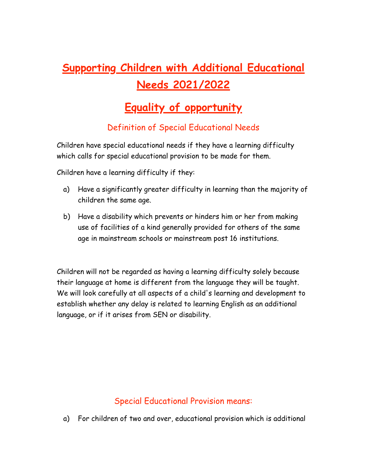# **Supporting Children with Additional Educational Needs 2021/2022**

# **Equality of opportunity**

# Definition of Special Educational Needs

Children have special educational needs if they have a learning difficulty which calls for special educational provision to be made for them.

Children have a learning difficulty if they:

- a) Have a significantly greater difficulty in learning than the majority of children the same age.
- b) Have a disability which prevents or hinders him or her from making use of facilities of a kind generally provided for others of the same age in mainstream schools or mainstream post 16 institutions.

Children will not be regarded as having a learning difficulty solely because their language at home is different from the language they will be taught. We will look carefully at all aspects of a child's learning and development to establish whether any delay is related to learning English as an additional language, or if it arises from SEN or disability.

## Special Educational Provision means:

a) For children of two and over, educational provision which is additional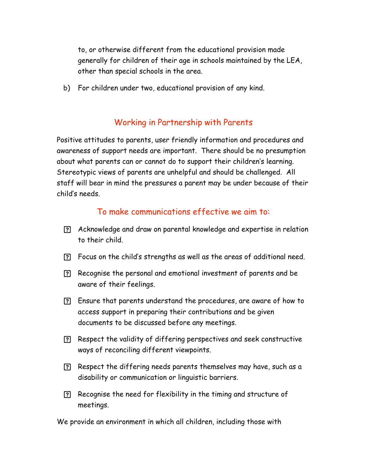to, or otherwise different from the educational provision made generally for children of their age in schools maintained by the LEA, other than special schools in the area.

b) For children under two, educational provision of any kind.

### Working in Partnership with Parents

Positive attitudes to parents, user friendly information and procedures and awareness of support needs are important. There should be no presumption about what parents can or cannot do to support their children's learning. Stereotypic views of parents are unhelpful and should be challenged. All staff will bear in mind the pressures a parent may be under because of their child's needs.

#### To make communications effective we aim to:

- Acknowledge and draw on parental knowledge and expertise in relation to their child.
- Focus on the child's strengths as well as the areas of additional need.
- Recognise the personal and emotional investment of parents and be aware of their feelings.
- Ensure that parents understand the procedures, are aware of how to access support in preparing their contributions and be given documents to be discussed before any meetings.
- Respect the validity of differing perspectives and seek constructive ways of reconciling different viewpoints.
- Respect the differing needs parents themselves may have, such as a disability or communication or linguistic barriers.
- Recognise the need for flexibility in the timing and structure of meetings.

We provide an environment in which all children, including those with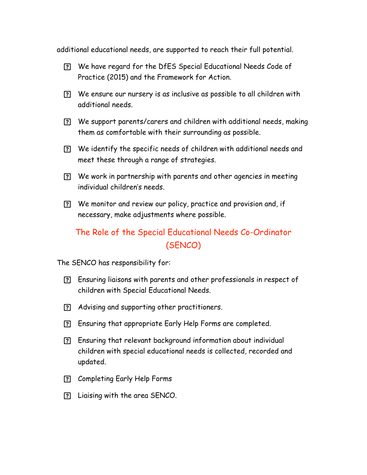additional educational needs, are supported to reach their full potential.

- We have regard for the DfES Special Educational Needs Code of Practice (2015) and the Framework for Action.
- We ensure our nursery is as inclusive as possible to all children with additional needs.
- We support parents/carers and children with additional needs, making them as comfortable with their surrounding as possible.
- We identify the specific needs of children with additional needs and meet these through a range of strategies.
- We work in partnership with parents and other agencies in meeting individual children's needs.
- We monitor and review our policy, practice and provision and, if necessary, make adjustments where possible.

# The Role of the Special Educational Needs Co-Ordinator (SENCO)

The SENCO has responsibility for:

- Ensuring liaisons with parents and other professionals in respect of children with Special Educational Needs.
- Advising and supporting other practitioners.
- Ensuring that appropriate Early Help Forms are completed.
- Ensuring that relevant background information about individual children with special educational needs is collected, recorded and updated.
- Completing Early Help Forms
- Liaising with the area SENCO.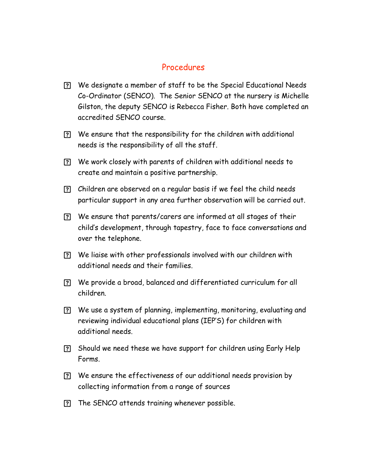#### Procedures

- We designate a member of staff to be the Special Educational Needs Co-Ordinator (SENCO). The Senior SENCO at the nursery is Michelle Gilston, the deputy SENCO is Rebecca Fisher. Both have completed an accredited SENCO course.
- We ensure that the responsibility for the children with additional needs is the responsibility of all the staff.
- We work closely with parents of children with additional needs to create and maintain a positive partnership.
- Children are observed on a regular basis if we feel the child needs particular support in any area further observation will be carried out.
- We ensure that parents/carers are informed at all stages of their child's development, through tapestry, face to face conversations and over the telephone.
- We liaise with other professionals involved with our children with additional needs and their families.
- We provide a broad, balanced and differentiated curriculum for all children.
- We use a system of planning, implementing, monitoring, evaluating and reviewing individual educational plans (IEP'S) for children with additional needs.
- Should we need these we have support for children using Early Help Forms.
- We ensure the effectiveness of our additional needs provision by collecting information from a range of sources
- The SENCO attends training whenever possible.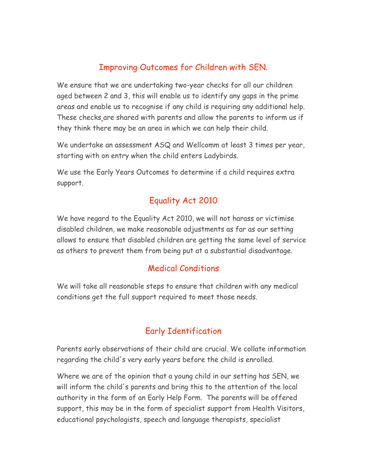# Improving Outcomes for Children with SEN.

We ensure that we are undertaking two-year checks for all our children aged between 2 and 3, this will enable us to identify any gaps in the prime areas and enable us to recognise if any child is requiring any additional help. These checks are shared with parents and allow the parents to inform us if they think there may be an area in which we can help their child.

We undertake an assessment ASQ and Wellcomm at least 3 times per year, starting with on entry when the child enters Ladybirds.

We use the Early Years Outcomes to determine if a child requires extra support.

# Equality Act 2010

We have regard to the Equality Act 2010, we will not harass or victimise disabled children, we make reasonable adjustments as far as our setting allows to ensure that disabled children are getting the same level of service as others to prevent them from being put at a substantial disadvantage.

## Medical Conditions

We will take all reasonable steps to ensure that children with any medical conditions get the full support required to meet those needs.

# Early Identification

Parents early observations of their child are crucial. We collate information regarding the child's very early years before the child is enrolled.

Where we are of the opinion that a young child in our setting has SEN, we will inform the child's parents and bring this to the attention of the local authority in the form of an Early Help Form. The parents will be offered support, this may be in the form of specialist support from Health Visitors, educational psychologists, speech and language therapists, specialist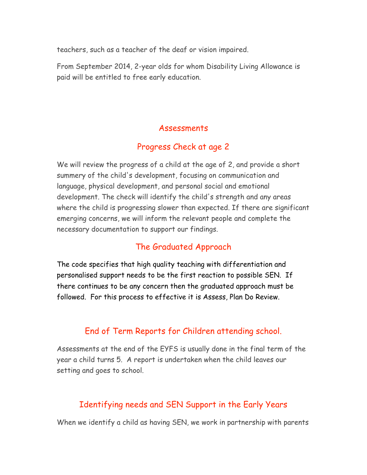teachers, such as a teacher of the deaf or vision impaired.

From September 2014, 2-year olds for whom Disability Living Allowance is paid will be entitled to free early education.

#### Assessments

### Progress Check at age 2

We will review the progress of a child at the age of 2, and provide a short summery of the child's development, focusing on communication and language, physical development, and personal social and emotional development. The check will identify the child's strength and any areas where the child is progressing slower than expected. If there are significant emerging concerns, we will inform the relevant people and complete the necessary documentation to support our findings.

## The Graduated Approach

The code specifies that high quality teaching with differentiation and personalised support needs to be the first reaction to possible SEN. If there continues to be any concern then the graduated approach must be followed. For this process to effective it is Assess, Plan Do Review.

## End of Term Reports for Children attending school.

Assessments at the end of the EYFS is usually done in the final term of the year a child turns 5. A report is undertaken when the child leaves our setting and goes to school.

#### Identifying needs and SEN Support in the Early Years

When we identify a child as having SEN, we work in partnership with parents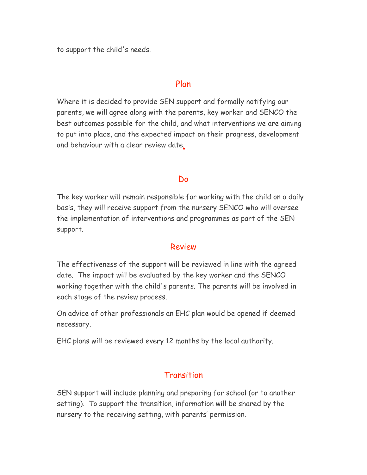to support the child's needs.

#### Plan

Where it is decided to provide SEN support and formally notifying our parents, we will agree along with the parents, key worker and SENCO the best outcomes possible for the child, and what interventions we are aiming to put into place, and the expected impact on their progress, development and behaviour with a clear review date.

#### Do

The key worker will remain responsible for working with the child on a daily basis, they will receive support from the nursery SENCO who will oversee the implementation of interventions and programmes as part of the SEN support.

#### Review

The effectiveness of the support will be reviewed in line with the agreed date. The impact will be evaluated by the key worker and the SENCO working together with the child's parents. The parents will be involved in each stage of the review process.

On advice of other professionals an EHC plan would be opened if deemed necessary.

EHC plans will be reviewed every 12 months by the local authority.

#### Transition

SEN support will include planning and preparing for school (or to another setting). To support the transition, information will be shared by the nursery to the receiving setting, with parents' permission.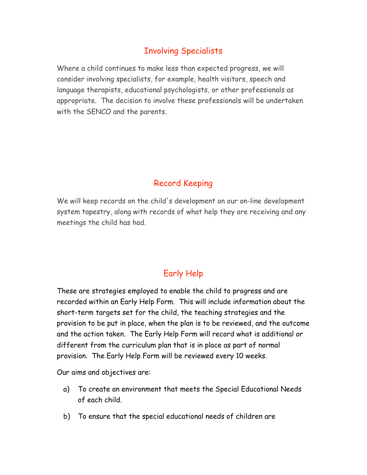# Involving Specialists

Where a child continues to make less than expected progress, we will consider involving specialists, for example, health visitors, speech and language therapists, educational psychologists, or other professionals as appropriate. The decision to involve these professionals will be undertaken with the SENCO and the parents.

# Record Keeping

We will keep records on the child's development on our on-line development system tapestry, along with records of what help they are receiving and any meetings the child has had.

# Early Help

These are strategies employed to enable the child to progress and are recorded within an Early Help Form. This will include information about the short-term targets set for the child, the teaching strategies and the provision to be put in place, when the plan is to be reviewed, and the outcome and the action taken. The Early Help Form will record what is additional or different from the curriculum plan that is in place as part of normal provision. The Early Help Form will be reviewed every 10 weeks.

Our aims and objectives are:

- a) To create an environment that meets the Special Educational Needs of each child.
- b) To ensure that the special educational needs of children are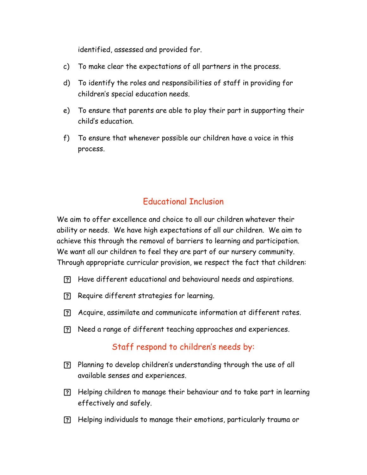identified, assessed and provided for.

- c) To make clear the expectations of all partners in the process.
- d) To identify the roles and responsibilities of staff in providing for children's special education needs.
- e) To ensure that parents are able to play their part in supporting their child's education.
- f) To ensure that whenever possible our children have a voice in this process.

## Educational Inclusion

We aim to offer excellence and choice to all our children whatever their ability or needs. We have high expectations of all our children. We aim to achieve this through the removal of barriers to learning and participation. We want all our children to feel they are part of our nursery community. Through appropriate curricular provision, we respect the fact that children:

- Have different educational and behavioural needs and aspirations.
- Require different strategies for learning.
- Acquire, assimilate and communicate information at different rates.
- Need a range of different teaching approaches and experiences.

#### Staff respond to children's needs by:

- Planning to develop children's understanding through the use of all available senses and experiences.
- Helping children to manage their behaviour and to take part in learning effectively and safely.
- Helping individuals to manage their emotions, particularly trauma or